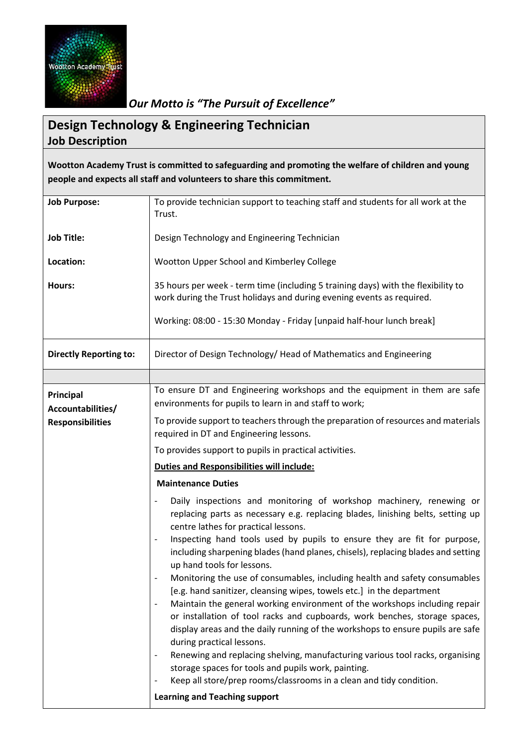

*Our Motto is "The Pursuit of Excellence"*

## **Design Technology & Engineering Technician Job Description**

**Wootton Academy Trust is committed to safeguarding and promoting the welfare of children and young people and expects all staff and volunteers to share this commitment.**

| <b>Job Purpose:</b>                          | To provide technician support to teaching staff and students for all work at the                                                                                                                                                           |
|----------------------------------------------|--------------------------------------------------------------------------------------------------------------------------------------------------------------------------------------------------------------------------------------------|
|                                              | Trust.                                                                                                                                                                                                                                     |
| <b>Job Title:</b>                            | Design Technology and Engineering Technician                                                                                                                                                                                               |
|                                              |                                                                                                                                                                                                                                            |
| Location:                                    | Wootton Upper School and Kimberley College                                                                                                                                                                                                 |
| Hours:                                       | 35 hours per week - term time (including 5 training days) with the flexibility to                                                                                                                                                          |
|                                              | work during the Trust holidays and during evening events as required.                                                                                                                                                                      |
|                                              | Working: 08:00 - 15:30 Monday - Friday [unpaid half-hour lunch break]                                                                                                                                                                      |
| <b>Directly Reporting to:</b>                | Director of Design Technology/Head of Mathematics and Engineering                                                                                                                                                                          |
|                                              |                                                                                                                                                                                                                                            |
| Principal                                    | To ensure DT and Engineering workshops and the equipment in them are safe                                                                                                                                                                  |
| Accountabilities/<br><b>Responsibilities</b> | environments for pupils to learn in and staff to work;                                                                                                                                                                                     |
|                                              | To provide support to teachers through the preparation of resources and materials<br>required in DT and Engineering lessons.                                                                                                               |
|                                              | To provides support to pupils in practical activities.                                                                                                                                                                                     |
|                                              | <b>Duties and Responsibilities will include:</b>                                                                                                                                                                                           |
|                                              | <b>Maintenance Duties</b>                                                                                                                                                                                                                  |
|                                              | Daily inspections and monitoring of workshop machinery, renewing or<br>replacing parts as necessary e.g. replacing blades, linishing belts, setting up<br>centre lathes for practical lessons.                                             |
|                                              | Inspecting hand tools used by pupils to ensure they are fit for purpose,<br>including sharpening blades (hand planes, chisels), replacing blades and setting<br>up hand tools for lessons.                                                 |
|                                              | Monitoring the use of consumables, including health and safety consumables<br>[e.g. hand sanitizer, cleansing wipes, towels etc.] in the department                                                                                        |
|                                              | Maintain the general working environment of the workshops including repair<br>or installation of tool racks and cupboards, work benches, storage spaces,<br>display areas and the daily running of the workshops to ensure pupils are safe |
|                                              | during practical lessons.                                                                                                                                                                                                                  |
|                                              | Renewing and replacing shelving, manufacturing various tool racks, organising                                                                                                                                                              |
|                                              | storage spaces for tools and pupils work, painting.<br>Keep all store/prep rooms/classrooms in a clean and tidy condition.                                                                                                                 |
|                                              |                                                                                                                                                                                                                                            |
|                                              | <b>Learning and Teaching support</b>                                                                                                                                                                                                       |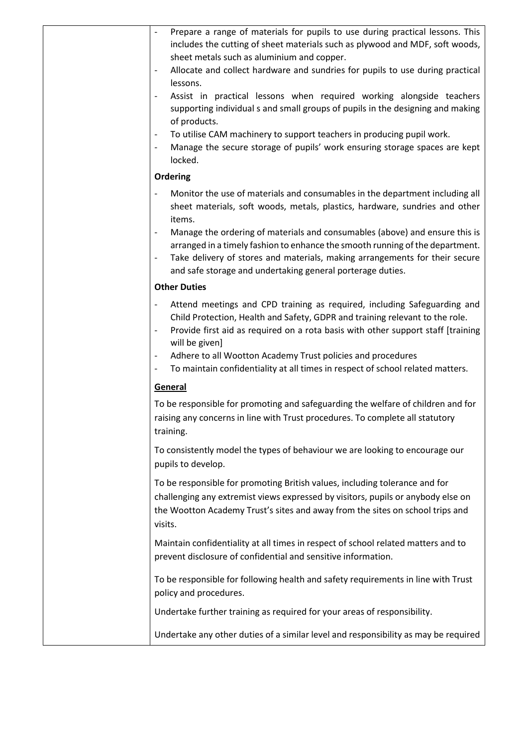| Prepare a range of materials for pupils to use during practical lessons. This<br>includes the cutting of sheet materials such as plywood and MDF, soft woods,<br>sheet metals such as aluminium and copper.                                                                                                                                                                                                                                                                                                    |
|----------------------------------------------------------------------------------------------------------------------------------------------------------------------------------------------------------------------------------------------------------------------------------------------------------------------------------------------------------------------------------------------------------------------------------------------------------------------------------------------------------------|
| Allocate and collect hardware and sundries for pupils to use during practical<br>lessons.<br>Assist in practical lessons when required working alongside teachers<br>supporting individual s and small groups of pupils in the designing and making<br>of products.<br>To utilise CAM machinery to support teachers in producing pupil work.<br>$\overline{\phantom{a}}$<br>Manage the secure storage of pupils' work ensuring storage spaces are kept<br>locked.<br>Ordering                                  |
| Monitor the use of materials and consumables in the department including all<br>sheet materials, soft woods, metals, plastics, hardware, sundries and other<br>items.<br>Manage the ordering of materials and consumables (above) and ensure this is<br>arranged in a timely fashion to enhance the smooth running of the department.<br>Take delivery of stores and materials, making arrangements for their secure<br>$\overline{\phantom{a}}$<br>and safe storage and undertaking general porterage duties. |
| <b>Other Duties</b>                                                                                                                                                                                                                                                                                                                                                                                                                                                                                            |
| Attend meetings and CPD training as required, including Safeguarding and<br>Child Protection, Health and Safety, GDPR and training relevant to the role.<br>Provide first aid as required on a rota basis with other support staff [training<br>will be given]<br>Adhere to all Wootton Academy Trust policies and procedures<br>To maintain confidentiality at all times in respect of school related matters.<br>$\overline{\phantom{a}}$                                                                    |
| General                                                                                                                                                                                                                                                                                                                                                                                                                                                                                                        |
| To be responsible for promoting and safeguarding the welfare of children and for<br>raising any concerns in line with Trust procedures. To complete all statutory<br>training.                                                                                                                                                                                                                                                                                                                                 |
| To consistently model the types of behaviour we are looking to encourage our<br>pupils to develop.                                                                                                                                                                                                                                                                                                                                                                                                             |
| To be responsible for promoting British values, including tolerance and for<br>challenging any extremist views expressed by visitors, pupils or anybody else on<br>the Wootton Academy Trust's sites and away from the sites on school trips and<br>visits.                                                                                                                                                                                                                                                    |
| Maintain confidentiality at all times in respect of school related matters and to<br>prevent disclosure of confidential and sensitive information.                                                                                                                                                                                                                                                                                                                                                             |
| To be responsible for following health and safety requirements in line with Trust<br>policy and procedures.                                                                                                                                                                                                                                                                                                                                                                                                    |
| Undertake further training as required for your areas of responsibility.                                                                                                                                                                                                                                                                                                                                                                                                                                       |
| Undertake any other duties of a similar level and responsibility as may be required                                                                                                                                                                                                                                                                                                                                                                                                                            |